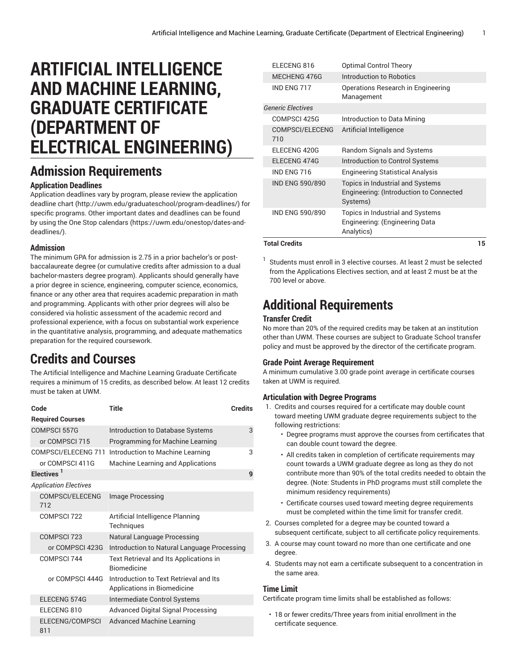# **ARTIFICIAL INTELLIGENCE AND MACHINE LEARNING, GRADUATE CERTIFICATE (DEPARTMENT OF ELECTRICAL ENGINEERING)**

## **Admission Requirements**

### **Application Deadlines**

Application deadlines vary by program, please review the [application](http://uwm.edu/graduateschool/program-deadlines/) [deadline](http://uwm.edu/graduateschool/program-deadlines/) chart ([http://uwm.edu/graduateschool/program-deadlines/\)](http://uwm.edu/graduateschool/program-deadlines/) for specific programs. Other important dates and deadlines can be found by using the [One Stop calendars](https://uwm.edu/onestop/dates-and-deadlines/) ([https://uwm.edu/onestop/dates-and](https://uwm.edu/onestop/dates-and-deadlines/)[deadlines/\)](https://uwm.edu/onestop/dates-and-deadlines/).

### **Admission**

The minimum GPA for admission is 2.75 in a prior bachelor's or postbaccalaureate degree (or cumulative credits after admission to a dual bachelor-masters degree program). Applicants should generally have a prior degree in science, engineering, computer science, economics, finance or any other area that requires academic preparation in math and programming. Applicants with other prior degrees will also be considered via holistic assessment of the academic record and professional experience, with a focus on substantial work experience in the quantitative analysis, programming, and adequate mathematics preparation for the required coursework.

## **Credits and Courses**

The Artificial Intelligence and Machine Learning Graduate Certificate requires a minimum of 15 credits, as described below. At least 12 credits must be taken at UWM.

| Code                          | Title                                                                 | Credits |  |  |
|-------------------------------|-----------------------------------------------------------------------|---------|--|--|
| <b>Required Courses</b>       |                                                                       |         |  |  |
| <b>COMPSCI 557G</b>           | Introduction to Database Systems                                      | 3       |  |  |
| or COMPSCI 715                | Programming for Machine Learning                                      |         |  |  |
| COMPSCI/ELECENG 711           | Introduction to Machine Learning                                      | 3       |  |  |
| or COMPSCI 411G               | Machine Learning and Applications                                     |         |  |  |
| Electives <sup>1</sup>        |                                                                       |         |  |  |
| <b>Application Electives</b>  |                                                                       |         |  |  |
| <b>COMPSCI/ELECENG</b><br>712 | Image Processing                                                      |         |  |  |
| COMPSCI 722                   | Artificial Intelligence Planning<br>Techniques                        |         |  |  |
| COMPSCI 723                   | <b>Natural Language Processing</b>                                    |         |  |  |
| or COMPSCI 423G               | Introduction to Natural Language Processing                           |         |  |  |
| COMPSCI 744                   | Text Retrieval and Its Applications in<br><b>Biomedicine</b>          |         |  |  |
| or COMPSCI 444G               | Introduction to Text Betrieval and Its<br>Applications in Biomedicine |         |  |  |
| ELECENG 574G                  | Intermediate Control Systems                                          |         |  |  |
| ELECENG 810                   | <b>Advanced Digital Signal Processing</b>                             |         |  |  |
| ELECENG/COMPSCI<br>811        | <b>Advanced Machine Learning</b>                                      |         |  |  |

| <b>Total Credits</b>     |                                                                                         | 15 |
|--------------------------|-----------------------------------------------------------------------------------------|----|
| <b>IND ENG 590/890</b>   | Topics in Industrial and Systems<br>Engineering: (Engineering Data<br>Analytics)        |    |
| IND ENG 590/890          | Topics in Industrial and Systems<br>Engineering: (Introduction to Connected<br>Systems) |    |
| IND ENG 716              | <b>Engineering Statistical Analysis</b>                                                 |    |
| ELECENG 474G             | Introduction to Control Systems                                                         |    |
| ELECENG 420G             | Random Signals and Systems                                                              |    |
| COMPSCI/ELECENG<br>710   | Artificial Intelligence                                                                 |    |
| COMPSCI 425G             | Introduction to Data Mining                                                             |    |
| <b>Generic Electives</b> |                                                                                         |    |
| IND ENG 717              | Operations Research in Engineering<br>Management                                        |    |
| MECHENG 476G             | Introduction to Robotics                                                                |    |
| ELECENG 816              | <b>Optimal Control Theory</b>                                                           |    |

1 Students must enroll in 3 elective courses. At least 2 must be selected from the Applications Electives section, and at least 2 must be at the 700 level or above.

# **Additional Requirements**

### **Transfer Credit**

No more than 20% of the required credits may be taken at an institution other than UWM. These courses are subject to Graduate School transfer policy and must be approved by the director of the certificate program.

### **Grade Point Average Requirement**

A minimum cumulative 3.00 grade point average in certificate courses taken at UWM is required.

### **Articulation with Degree Programs**

- 1. Credits and courses required for a certificate may double count toward meeting UWM graduate degree requirements subject to the following restrictions:
	- Degree programs must approve the courses from certificates that can double count toward the degree.
	- All credits taken in completion of certificate requirements may count towards a UWM graduate degree as long as they do not contribute more than 90% of the total credits needed to obtain the degree. (Note: Students in PhD programs must still complete the minimum residency requirements)
	- Certificate courses used toward meeting degree requirements must be completed within the time limit for transfer credit.
- 2. Courses completed for a degree may be counted toward a subsequent certificate, subject to all certificate policy requirements.
- 3. A course may count toward no more than one certificate and one degree.
- 4. Students may not earn a certificate subsequent to a concentration in the same area.

#### **Time Limit**

Certificate program time limits shall be established as follows:

• 18 or fewer credits/Three years from initial enrollment in the certificate sequence.